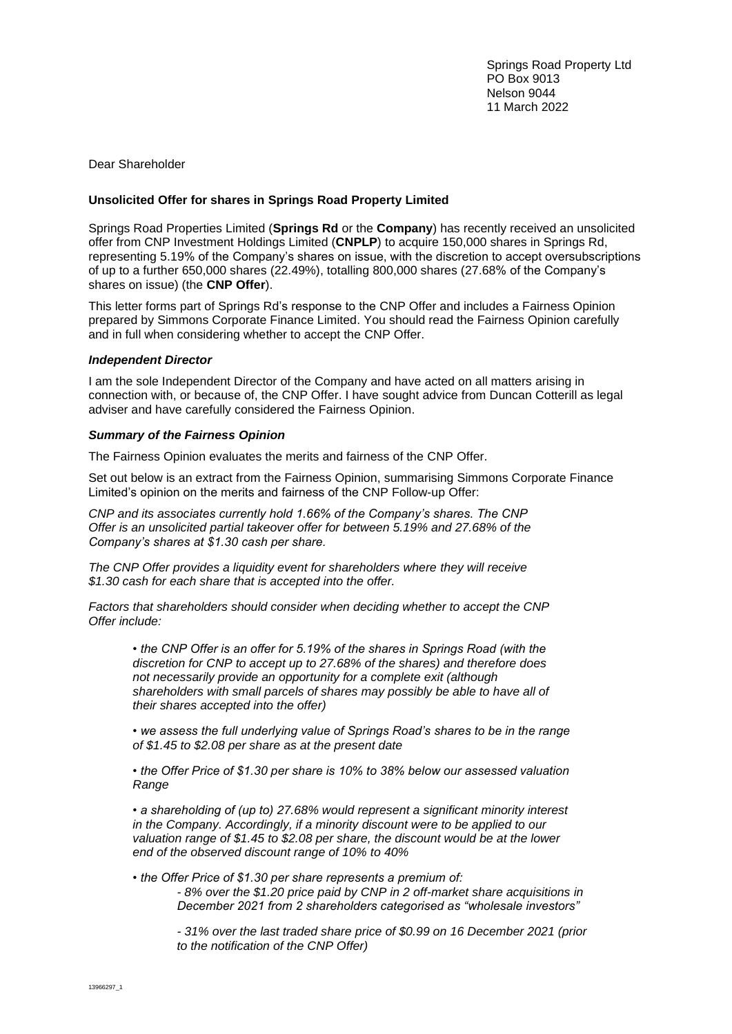Springs Road Property Ltd PO Box 9013 Nelson 9044 11 March 2022

Dear Shareholder

## **Unsolicited Offer for shares in Springs Road Property Limited**

Springs Road Properties Limited (**Springs Rd** or the **Company**) has recently received an unsolicited offer from CNP Investment Holdings Limited (**CNPLP**) to acquire 150,000 shares in Springs Rd, representing 5.19% of the Company's shares on issue, with the discretion to accept oversubscriptions of up to a further 650,000 shares (22.49%), totalling 800,000 shares (27.68% of the Company's shares on issue) (the **CNP Offer**).

This letter forms part of Springs Rd's response to the CNP Offer and includes a Fairness Opinion prepared by Simmons Corporate Finance Limited. You should read the Fairness Opinion carefully and in full when considering whether to accept the CNP Offer.

## *Independent Director*

I am the sole Independent Director of the Company and have acted on all matters arising in connection with, or because of, the CNP Offer. I have sought advice from Duncan Cotterill as legal adviser and have carefully considered the Fairness Opinion.

## *Summary of the Fairness Opinion*

The Fairness Opinion evaluates the merits and fairness of the CNP Offer.

Set out below is an extract from the Fairness Opinion, summarising Simmons Corporate Finance Limited's opinion on the merits and fairness of the CNP Follow-up Offer:

*CNP and its associates currently hold 1.66% of the Company's shares. The CNP Offer is an unsolicited partial takeover offer for between 5.19% and 27.68% of the Company's shares at \$1.30 cash per share.*

*The CNP Offer provides a liquidity event for shareholders where they will receive \$1.30 cash for each share that is accepted into the offer.*

*Factors that shareholders should consider when deciding whether to accept the CNP Offer include:*

*• the CNP Offer is an offer for 5.19% of the shares in Springs Road (with the discretion for CNP to accept up to 27.68% of the shares) and therefore does not necessarily provide an opportunity for a complete exit (although shareholders with small parcels of shares may possibly be able to have all of their shares accepted into the offer)*

*• we assess the full underlying value of Springs Road's shares to be in the range of \$1.45 to \$2.08 per share as at the present date*

*• the Offer Price of \$1.30 per share is 10% to 38% below our assessed valuation Range*

*• a shareholding of (up to) 27.68% would represent a significant minority interest in the Company. Accordingly, if a minority discount were to be applied to our valuation range of \$1.45 to \$2.08 per share, the discount would be at the lower end of the observed discount range of 10% to 40%*

*• the Offer Price of \$1.30 per share represents a premium of: - 8% over the \$1.20 price paid by CNP in 2 off-market share acquisitions in December 2021 from 2 shareholders categorised as "wholesale investors"*

*- 31% over the last traded share price of \$0.99 on 16 December 2021 (prior to the notification of the CNP Offer)*